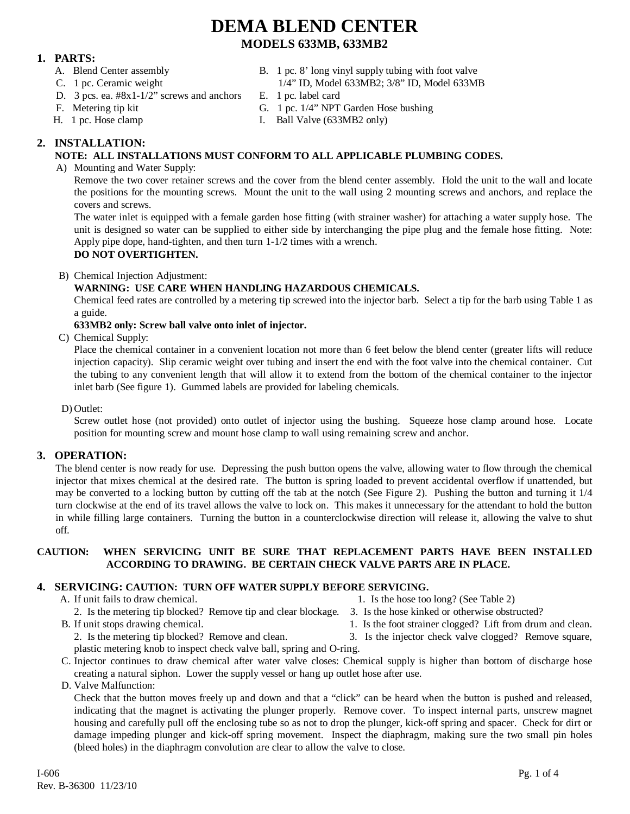### **1. PARTS:**

- 
- 
- A. Blend Center assembly B. 1 pc. 8' long vinyl supply tubing with foot valve
- C. 1 pc. Ceramic weight 1/4" ID, Model 633MB2; 3/8" ID, Model 633MB
- D. 3 pcs. ea. #8x1-1/2" screws and anchors E. 1 pc. label card
- 
- 
- F. Metering tip kit G. 1 pc. 1/4" NPT Garden Hose bushing
- H. 1 pc. Hose clamp I. Ball Valve (633MB2 only)

### **2. INSTALLATION:**

### **NOTE: ALL INSTALLATIONS MUST CONFORM TO ALL APPLICABLE PLUMBING CODES.**

A) Mounting and Water Supply:

Remove the two cover retainer screws and the cover from the blend center assembly. Hold the unit to the wall and locate the positions for the mounting screws. Mount the unit to the wall using 2 mounting screws and anchors, and replace the covers and screws.

The water inlet is equipped with a female garden hose fitting (with strainer washer) for attaching a water supply hose. The unit is designed so water can be supplied to either side by interchanging the pipe plug and the female hose fitting. Note: Apply pipe dope, hand-tighten, and then turn 1-1/2 times with a wrench.

### **DO NOT OVERTIGHTEN.**

B) Chemical Injection Adjustment:

#### **WARNING: USE CARE WHEN HANDLING HAZARDOUS CHEMICALS.**

Chemical feed rates are controlled by a metering tip screwed into the injector barb. Select a tip for the barb using Table 1 as a guide.

#### **633MB2 only: Screw ball valve onto inlet of injector.**

C) Chemical Supply:

Place the chemical container in a convenient location not more than 6 feet below the blend center (greater lifts will reduce injection capacity). Slip ceramic weight over tubing and insert the end with the foot valve into the chemical container. Cut the tubing to any convenient length that will allow it to extend from the bottom of the chemical container to the injector inlet barb (See figure 1). Gummed labels are provided for labeling chemicals.

D) Outlet:

Screw outlet hose (not provided) onto outlet of injector using the bushing. Squeeze hose clamp around hose. Locate position for mounting screw and mount hose clamp to wall using remaining screw and anchor.

#### **3. OPERATION:**

The blend center is now ready for use. Depressing the push button opens the valve, allowing water to flow through the chemical injector that mixes chemical at the desired rate. The button is spring loaded to prevent accidental overflow if unattended, but may be converted to a locking button by cutting off the tab at the notch (See Figure 2). Pushing the button and turning it 1/4 turn clockwise at the end of its travel allows the valve to lock on. This makes it unnecessary for the attendant to hold the button in while filling large containers. Turning the button in a counterclockwise direction will release it, allowing the valve to shut off.

#### **CAUTION: WHEN SERVICING UNIT BE SURE THAT REPLACEMENT PARTS HAVE BEEN INSTALLED ACCORDING TO DRAWING. BE CERTAIN CHECK VALVE PARTS ARE IN PLACE.**

#### **4. SERVICING: CAUTION: TURN OFF WATER SUPPLY BEFORE SERVICING.**

- 
- A. If unit fails to draw chemical. 1. Is the hose too long? (See Table 2)
	- 2. Is the metering tip blocked? Remove tip and clear blockage. 3. Is the hose kinked or otherwise obstructed?
	-
- 
- 
- B. If unit stops drawing chemical. 1. Is the foot strainer clogged? Lift from drum and clean.
	- 2. Is the metering tip blocked? Remove and clean. 3. Is the injector check valve clogged? Remove square,
	- plastic metering knob to inspect check valve ball, spring and O-ring.
- C. Injector continues to draw chemical after water valve closes: Chemical supply is higher than bottom of discharge hose creating a natural siphon. Lower the supply vessel or hang up outlet hose after use.
- D. Valve Malfunction:

Check that the button moves freely up and down and that a "click" can be heard when the button is pushed and released, indicating that the magnet is activating the plunger properly. Remove cover. To inspect internal parts, unscrew magnet housing and carefully pull off the enclosing tube so as not to drop the plunger, kick-off spring and spacer. Check for dirt or damage impeding plunger and kick-off spring movement. Inspect the diaphragm, making sure the two small pin holes (bleed holes) in the diaphragm convolution are clear to allow the valve to close.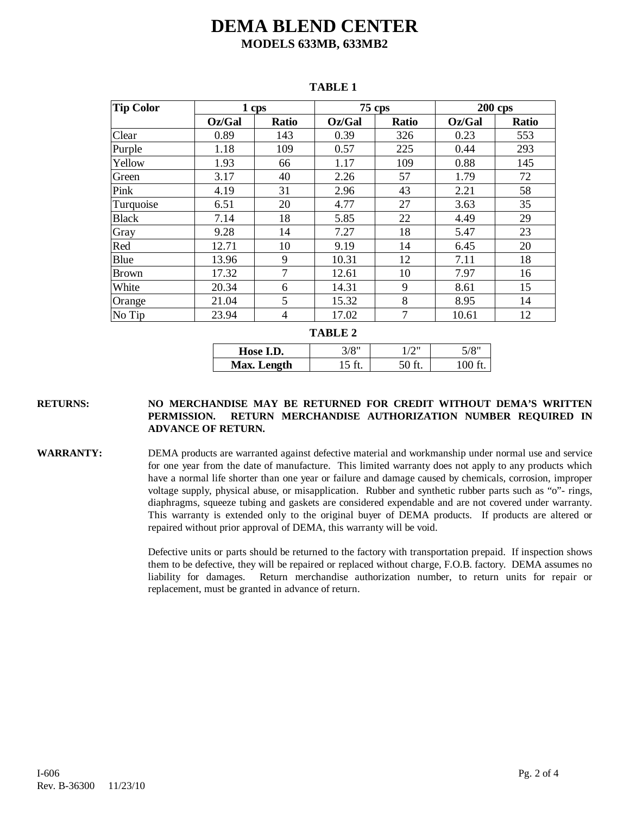| <b>Tip Color</b> | 1 cps  |              |        | 75 cps       | <b>200 cps</b> |              |
|------------------|--------|--------------|--------|--------------|----------------|--------------|
|                  | Oz/Gal | <b>Ratio</b> | Oz/Gal | <b>Ratio</b> | Oz/Gal         | <b>Ratio</b> |
| Clear            | 0.89   | 143          | 0.39   | 326          | 0.23           | 553          |
| Purple           | 1.18   | 109          | 0.57   | 225          | 0.44           | 293          |
| Yellow           | 1.93   | 66           | 1.17   | 109          | 0.88           | 145          |
| Green            | 3.17   | 40           | 2.26   | 57           | 1.79           | 72           |
| Pink             | 4.19   | 31           | 2.96   | 43           | 2.21           | 58           |
| Turquoise        | 6.51   | 20           | 4.77   | 27           | 3.63           | 35           |
| <b>Black</b>     | 7.14   | 18           | 5.85   | 22           | 4.49           | 29           |
| Gray             | 9.28   | 14           | 7.27   | 18           | 5.47           | 23           |
| Red              | 12.71  | 10           | 9.19   | 14           | 6.45           | 20           |
| Blue             | 13.96  | 9            | 10.31  | 12           | 7.11           | 18           |
| <b>Brown</b>     | 17.32  | 7            | 12.61  | 10           | 7.97           | 16           |
| White            | 20.34  | 6            | 14.31  | 9            | 8.61           | 15           |
| Orange           | 21.04  | 5            | 15.32  | 8            | 8.95           | 14           |
| No Tip           | 23.94  | 4            | 17.02  | 7            | 10.61          | 12           |

#### **TABLE 1**

**TABLE 2**

| Hose I.D.   | "8/اذ | $\sqrt{2}$ | 5/8 |
|-------------|-------|------------|-----|
| Max. Length |       |            | 100 |

#### **RETURNS: NO MERCHANDISE MAY BE RETURNED FOR CREDIT WITHOUT DEMA'S WRITTEN PERMISSION. RETURN MERCHANDISE AUTHORIZATION NUMBER REQUIRED IN ADVANCE OF RETURN.**

**WARRANTY:** DEMA products are warranted against defective material and workmanship under normal use and service for one year from the date of manufacture. This limited warranty does not apply to any products which have a normal life shorter than one year or failure and damage caused by chemicals, corrosion, improper voltage supply, physical abuse, or misapplication. Rubber and synthetic rubber parts such as "o"- rings, diaphragms, squeeze tubing and gaskets are considered expendable and are not covered under warranty. This warranty is extended only to the original buyer of DEMA products. If products are altered or repaired without prior approval of DEMA, this warranty will be void.

> Defective units or parts should be returned to the factory with transportation prepaid. If inspection shows them to be defective, they will be repaired or replaced without charge, F.O.B. factory. DEMA assumes no liability for damages. Return merchandise authorization number, to return units for repair or replacement, must be granted in advance of return.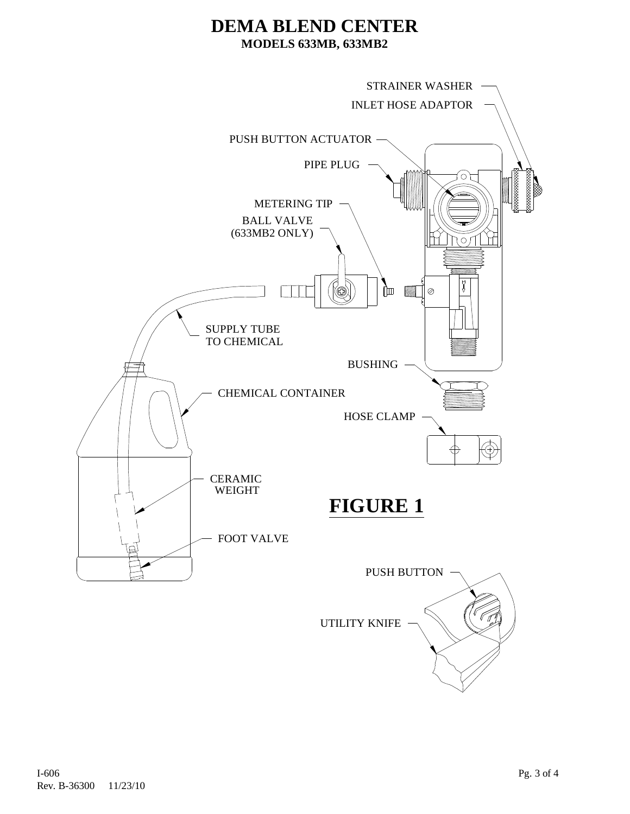